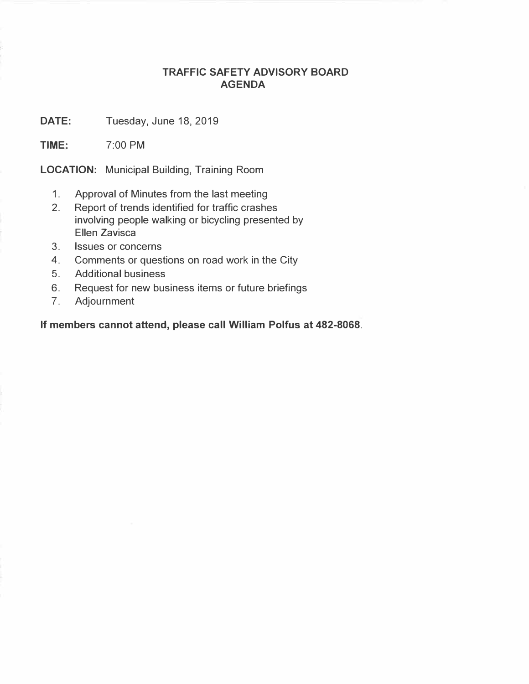## **TRAFFIC SAFETY ADVISORY BOARD AGENDA**

**DATE:**  Tuesday, June 18, 2019

**TIME:**  7:00 PM

**LOCATION:** Municipal Building, Training Room

- 1. Approval of Minutes from the last meeting
- 2. Report of trends identified for traffic crashes involving people walking or bicycling presented by Ellen Zavisca
- 3. Issues or concerns
- 4. Comments or questions on road work in the City
- 5. Additional business
- 6. Request for new business items or future briefings
- 7. Adjournment

**If members cannot attend, please call William Polfus at 482-8068.**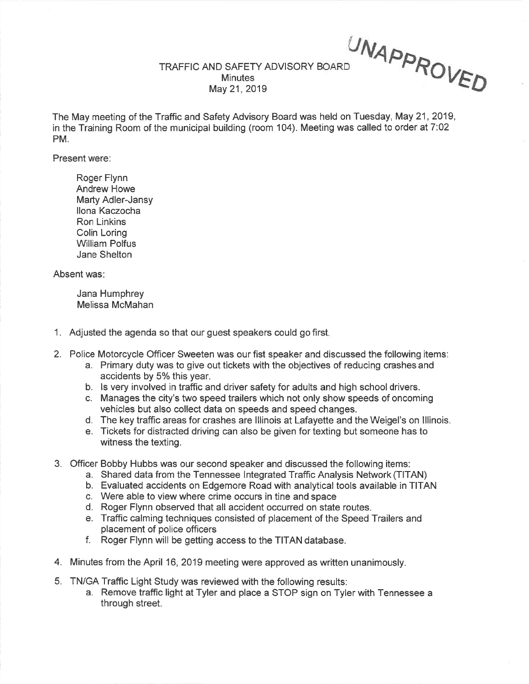TRAFFIC AND SAFETY ADVISORY BOARD MinutesMay 21, 2019 UNAPPROVED

The May meeting of the Traffic and Safety Advisory Board was held on Tuesday, May 21,2019,in the Training Room of the municipal building (room 104). Meeting was called to order at 7:02 PM.

Present were:

Roger Flynn Andrew Howe Marty Adler-Jansyllona KaczochaRon Linkins Colin Loring William PolfusJane Shelton

Absent was

Jana HumphreyMelissa McMahan

- 1. Adjusted the agenda so that our guest speakers could go first
- 2. Police Motorcycle Officer Sweeten was our fist speaker and discussed the following items:
	- a. Primary duty was to give out tickets with the objectives of reducing crashes and
	- b. Is very involved in traffic and driver safety for adults and high school drivers.
	- c. Manages the city's two speed trailers which not only show speeds of oncomingvehicles but also collect data on speeds and speed changes.
	- d. The key traffic areas for crashes are lllinois at Lafayette and the Weigel's on lllinois.
	- e. Tickets for distracted driving can also be given for texting but someone has towitness the texting.
- 3. Officer Bobby Hubbs was our second speaker and discussed the following items:
	- a. Shared data from the Tennessee lntegrated Traffic Analysis Network (TITAN)
	- b. Evaluated accidents on Edgemore Road with analytical tools available in TITAN
	- c. Were able to view where crime occurs in tine and space
	- d. Roger Flynn observed that all accident occurred on state routes.
	- e. Traffic calming techniques consisted of placement of the Speed Trailers andplacement of police officers
	- f. Roger Flynn will be getting access to the TITAN database.
- 4. Minutes from the April 16, 2019 meeting were approved as written unanimously.
- 5. TN/GA Traffic Light Study was reviewed with the following results:
	- a. Remove traffic light at Tyler and place a STOP sign on Tyler with Tennessee athrough street.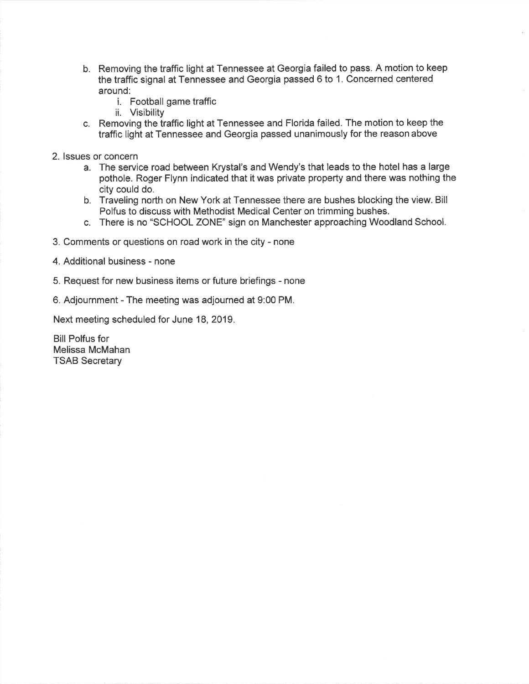- b. Removing the traffic light at Tennessee at Georgia failed to pass. A motion to keepthe traffic signal at Tennessee and Georgia passed 6 to 1. Concerned centeredaround:
	- i. Football game traffic
	- ii. Visibility
- c. Removing the traffic light at Tennessee and Florida failed. The motion to keep thetraffic light at Tennessee and Georgia passed unanimously for the reason above
- 2. lssues or concern
	- a. The service road between Krystal's and Wendy's that leads to the hotel has a large pothole. Roger Flynn indicated that it was private property and there was nothing thecity could do.
	- b. Traveling north on New York at Tennessee there are bushes blocking the view. Bill Polfus to discuss with Methodist Medical Center on trimming bushes.
	- c. There is no "SCHOOL ZONE" sign on Manchester approaching Woodland School.
- 3. Comments or questions on road work in the city none
- 4. Additional business none
- 5. Request for new business items or future briefings none
- 6. Adjournment The meeting was adjourned at 9:00 PM.

Next meeting scheduled for June 18, 2019

Bill Polfus for Melissa McMahanTSAB Secretary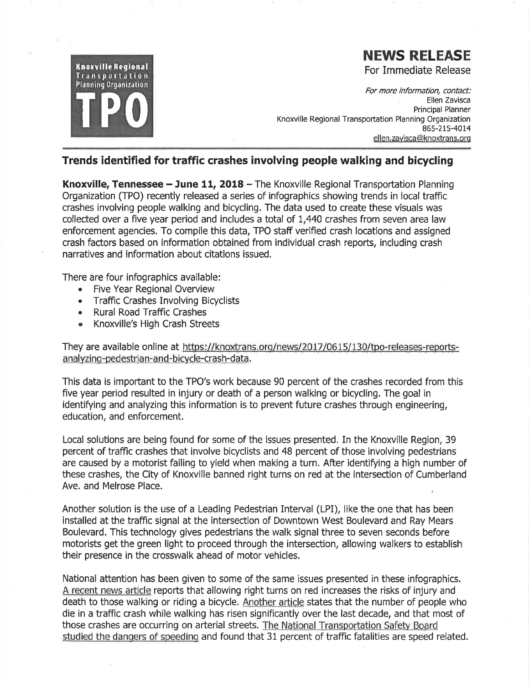

## **NEWS RELEASE**

For Immediate Release

For more information, contact: Ellen Zavisca Principal Planner Knoxville Regional Transportation Planning Organization 865-215-4014 ellen.zavisca@knoxtrans.org

## Trends identified for traffic crashes involving people walking and bicycling

Knoxville, Tennessee - June 11, 2018 - The Knoxville Regional Transportation Planning Organization (TPO) recently released a series of infographics showing trends in local traffic crashes involving people walking and bicycling. The data used to create these visuals was collected over a five year period and includes a total of 1,440 crashes from seven area law enforcement agencies. To compile this data, TPO staff verified crash locations and assigned crash factors based on information obtained from individual crash reports, including crash narratives and information about citations issued.

There are four infographics available:

- Five Year Regional Overview  $\bullet$
- **Traffic Crashes Involving Bicyclists**  $\bullet$
- **Rural Road Traffic Crashes**  $\bullet$
- Knoxville's High Crash Streets

They are available online at https://knoxtrans.org/news/2017/0615/130/tpo-releases-reportsanalyzing-pedestrian-and-bicycle-crash-data.

This data is important to the TPO's work because 90 percent of the crashes recorded from this five year period resulted in injury or death of a person walking or bicycling. The goal in identifying and analyzing this information is to prevent future crashes through engineering. education, and enforcement.

Local solutions are being found for some of the issues presented. In the Knoxville Region, 39 percent of traffic crashes that involve bicyclists and 48 percent of those involving pedestrians are caused by a motorist failing to yield when making a turn. After identifying a high number of these crashes, the City of Knoxville banned right turns on red at the intersection of Cumberland Ave. and Melrose Place.

Another solution is the use of a Leading Pedestrian Interval (LPI), like the one that has been installed at the traffic signal at the intersection of Downtown West Boulevard and Ray Mears Boulevard. This technology gives pedestrians the walk signal three to seven seconds before motorists get the green light to proceed through the intersection, allowing walkers to establish their presence in the crosswalk ahead of motor vehicles.

National attention has been given to some of the same issues presented in these infographics. A recent news article reports that allowing right turns on red increases the risks of injury and death to those walking or riding a bicycle. Another article states that the number of people who die in a traffic crash while walking has risen significantly over the last decade, and that most of those crashes are occurring on arterial streets. The National Transportation Safety Board studied the dangers of speeding and found that 31 percent of traffic fatalities are speed related.